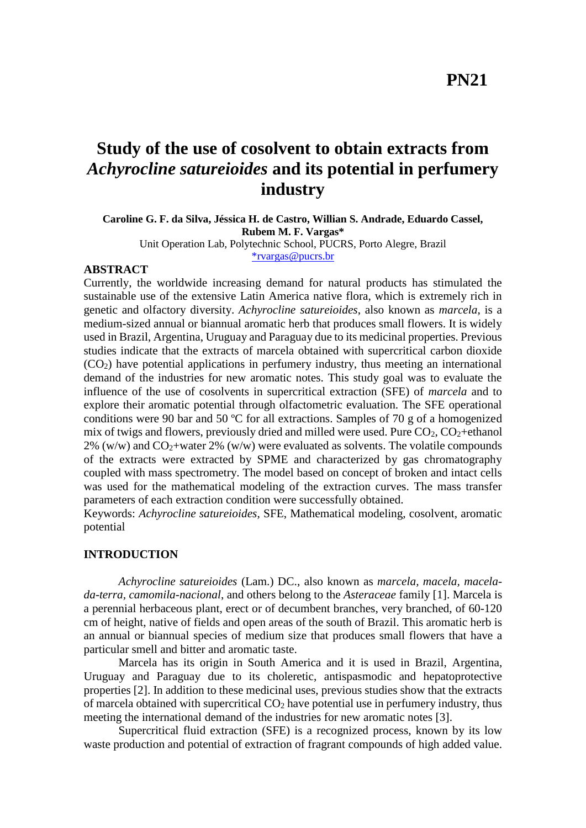# **Study of the use of cosolvent to obtain extracts from** *Achyrocline satureioides* **and its potential in perfumery industry**

**Caroline G. F. da Silva, Jéssica H. de Castro, Willian S. Andrade, Eduardo Cassel, Rubem M. F. Vargas\***

Unit Operation Lab, Polytechnic School, PUCRS, Porto Alegre, Brazil [\\*rvargas@pucrs.br](mailto:*rvargas@pucrs.br)

# **ABSTRACT**

Currently, the worldwide increasing demand for natural products has stimulated the sustainable use of the extensive Latin America native flora, which is extremely rich in genetic and olfactory diversity. *Achyrocline satureioides*, also known as *marcela*, is a medium-sized annual or biannual aromatic herb that produces small flowers. It is widely used in Brazil, Argentina, Uruguay and Paraguay due to its medicinal properties. Previous studies indicate that the extracts of marcela obtained with supercritical carbon dioxide (CO2) have potential applications in perfumery industry, thus meeting an international demand of the industries for new aromatic notes. This study goal was to evaluate the influence of the use of cosolvents in supercritical extraction (SFE) of *marcela* and to explore their aromatic potential through olfactometric evaluation. The SFE operational conditions were 90 bar and 50 ºC for all extractions. Samples of 70 g of a homogenized mix of twigs and flowers, previously dried and milled were used. Pure  $CO<sub>2</sub>$ ,  $CO<sub>2</sub>+\text{ethanol}$ 2% (w/w) and  $CO_2$ +water 2% (w/w) were evaluated as solvents. The volatile compounds of the extracts were extracted by SPME and characterized by gas chromatography coupled with mass spectrometry. The model based on concept of broken and intact cells was used for the mathematical modeling of the extraction curves. The mass transfer parameters of each extraction condition were successfully obtained.

Keywords: *Achyrocline satureioides*, SFE, Mathematical modeling, cosolvent, aromatic potential

## **INTRODUCTION**

*Achyrocline satureioides* (Lam.) DC., also known as *marcela, macela, macelada-terra, camomila-nacional*, and others belong to the *Asteraceae* family [1]. Marcela is a perennial herbaceous plant, erect or of decumbent branches, very branched, of 60-120 cm of height, native of fields and open areas of the south of Brazil. This aromatic herb is an annual or biannual species of medium size that produces small flowers that have a particular smell and bitter and aromatic taste.

Marcela has its origin in South America and it is used in Brazil, Argentina, Uruguay and Paraguay due to its choleretic, antispasmodic and hepatoprotective properties [2]. In addition to these medicinal uses, previous studies show that the extracts of marcela obtained with supercritical  $CO<sub>2</sub>$  have potential use in perfumery industry, thus meeting the international demand of the industries for new aromatic notes [3].

Supercritical fluid extraction (SFE) is a recognized process, known by its low waste production and potential of extraction of fragrant compounds of high added value.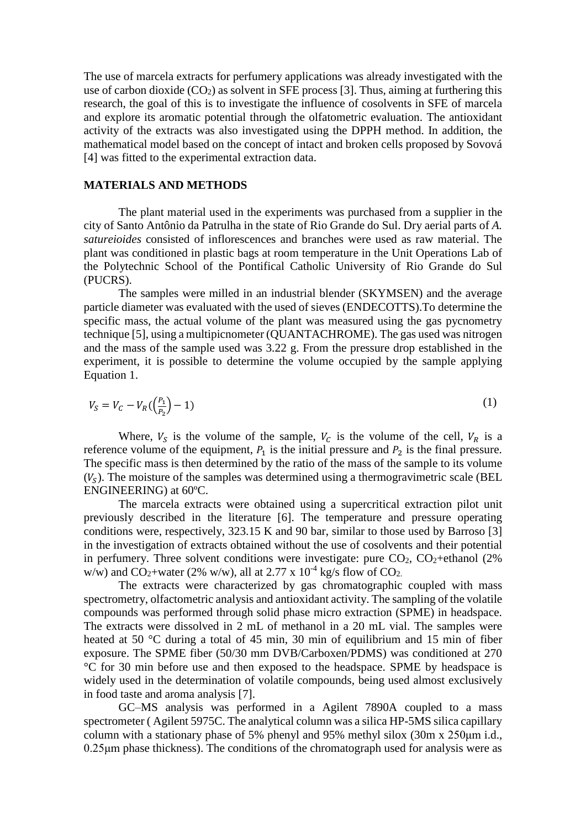The use of marcela extracts for perfumery applications was already investigated with the use of carbon dioxide  $(CO_2)$  as solvent in SFE process [3]. Thus, aiming at furthering this research, the goal of this is to investigate the influence of cosolvents in SFE of marcela and explore its aromatic potential through the olfatometric evaluation. The antioxidant activity of the extracts was also investigated using the DPPH method. In addition, the mathematical model based on the concept of intact and broken cells proposed by Sovová [4] was fitted to the experimental extraction data.

#### **MATERIALS AND METHODS**

The plant material used in the experiments was purchased from a supplier in the city of Santo Antônio da Patrulha in the state of Rio Grande do Sul. Dry aerial parts of *A. satureioides* consisted of inflorescences and branches were used as raw material. The plant was conditioned in plastic bags at room temperature in the Unit Operations Lab of the Polytechnic School of the Pontifical Catholic University of Rio Grande do Sul (PUCRS).

The samples were milled in an industrial blender (SKYMSEN) and the average particle diameter was evaluated with the used of sieves (ENDECOTTS).To determine the specific mass, the actual volume of the plant was measured using the gas pycnometry technique [5], using a multipicnometer (QUANTACHROME). The gas used was nitrogen and the mass of the sample used was 3.22 g. From the pressure drop established in the experiment, it is possible to determine the volume occupied by the sample applying Equation 1.

$$
V_S = V_C - V_R \left(\frac{P_1}{P_2}\right) - 1) \tag{1}
$$

Where,  $V_s$  is the volume of the sample,  $V_c$  is the volume of the cell,  $V_R$  is a reference volume of the equipment,  $P_1$  is the initial pressure and  $P_2$  is the final pressure. The specific mass is then determined by the ratio of the mass of the sample to its volume  $(V<sub>S</sub>)$ . The moisture of the samples was determined using a thermogravimetric scale (BEL ENGINEERING) at 60ºC.

The marcela extracts were obtained using a supercritical extraction pilot unit previously described in the literature [6]. The temperature and pressure operating conditions were, respectively, 323.15 K and 90 bar, similar to those used by Barroso [3] in the investigation of extracts obtained without the use of cosolvents and their potential in perfumery. Three solvent conditions were investigate: pure  $CO<sub>2</sub>$ ,  $CO<sub>2</sub>$ +ethanol (2%) w/w) and CO<sub>2</sub>+water (2% w/w), all at 2.77 x  $10^{-4}$  kg/s flow of CO<sub>2</sub>.

The extracts were characterized by gas chromatographic coupled with mass spectrometry, olfactometric analysis and antioxidant activity. The sampling of the volatile compounds was performed through solid phase micro extraction (SPME) in headspace. The extracts were dissolved in 2 mL of methanol in a 20 mL vial. The samples were heated at 50 °C during a total of 45 min, 30 min of equilibrium and 15 min of fiber exposure. The SPME fiber (50/30 mm DVB/Carboxen/PDMS) was conditioned at 270 °C for 30 min before use and then exposed to the headspace. SPME by headspace is widely used in the determination of volatile compounds, being used almost exclusively in food taste and aroma analysis [7].

GC–MS analysis was performed in a Agilent 7890A coupled to a mass spectrometer ( Agilent 5975C. The analytical column was a silica HP-5MS silica capillary column with a stationary phase of 5% phenyl and 95% methyl silox (30m x 250μm i.d., 0.25μm phase thickness). The conditions of the chromatograph used for analysis were as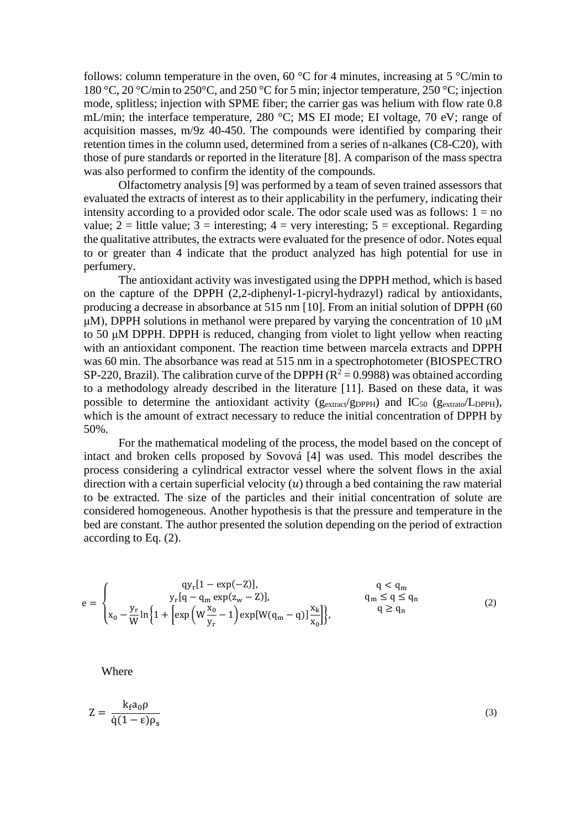follows: column temperature in the oven, 60  $^{\circ}$ C for 4 minutes, increasing at 5  $^{\circ}$ C/min to 180 °C, 20 °C/min to 250°C, and 250 °C for 5 min; injector temperature, 250 °C; injection mode, splitless; injection with SPME fiber; the carrier gas was helium with flow rate 0.8 mL/min; the interface temperature, 280 °C; MS EI mode; EI voltage, 70 eV; range of acquisition masses, m/9z 40-450. The compounds were identified by comparing their retention times in the column used, determined from a series of n-alkanes (C8-C20), with those of pure standards or reported in the literature [8]. A comparison of the mass spectra was also performed to confirm the identity of the compounds.

Olfactometry analysis [9] was performed by a team of seven trained assessors that evaluated the extracts of interest as to their applicability in the perfumery, indicating their intensity according to a provided odor scale. The odor scale used was as follows:  $1 = no$ value;  $2 =$  little value;  $3 =$  interesting;  $4 =$  very interesting;  $5 =$  exceptional. Regarding the qualitative attributes, the extracts were evaluated for the presence of odor. Notes equal to or greater than 4 indicate that the product analyzed has high potential for use in perfumery.

The antioxidant activity was investigated using the DPPH method, which is based on the capture of the DPPH (2,2-diphenyl-1-picryl-hydrazyl) radical by antioxidants, producing a decrease in absorbance at 515 nm [10]. From an initial solution of DPPH (60 μM), DPPH solutions in methanol were prepared by varying the concentration of 10 μM to 50 μM DPPH. DPPH is reduced, changing from violet to light yellow when reacting with an antioxidant component. The reaction time between marcela extracts and DPPH was 60 min. The absorbance was read at 515 nm in a spectrophotometer (BIOSPECTRO SP-220, Brazil). The calibration curve of the DPPH ( $R^2$  = 0.9988) was obtained according to a methodology already described in the literature [11]. Based on these data, it was possible to determine the antioxidant activity ( $g_{\text{extract}}/g_{\text{DPPH}}$ ) and  $IC_{50}$  ( $g_{\text{extract}}/L_{\text{DPPH}}$ ), which is the amount of extract necessary to reduce the initial concentration of DPPH by 50%.

For the mathematical modeling of the process, the model based on the concept of intact and broken cells proposed by Sovová [4] was used. This model describes the process considering a cylindrical extractor vessel where the solvent flows in the axial direction with a certain superficial velocity  $(u)$  through a bed containing the raw material to be extracted. The size of the particles and their initial concentration of solute are considered homogeneous. Another hypothesis is that the pressure and temperature in the bed are constant. The author presented the solution depending on the period of extraction according to Eq. (2).

$$
e = \begin{cases} qy_r[1 - exp(-Z)], & q < q_m \\ y_r[q - q_m exp(z_w - Z)], & q_m \le q \le q_n \\ x_0 - \frac{y_r}{W} \ln \left\{ 1 + \left[ exp\left(W\frac{x_0}{y_r} - 1\right) exp[W(q_m - q)]\frac{x_k}{x_0} \right] \right\}, & q \ge q_n \end{cases}
$$
(2)

Where

$$
Z = \frac{k_f a_0 \rho}{\dot{q}(1 - \epsilon)\rho_s} \tag{3}
$$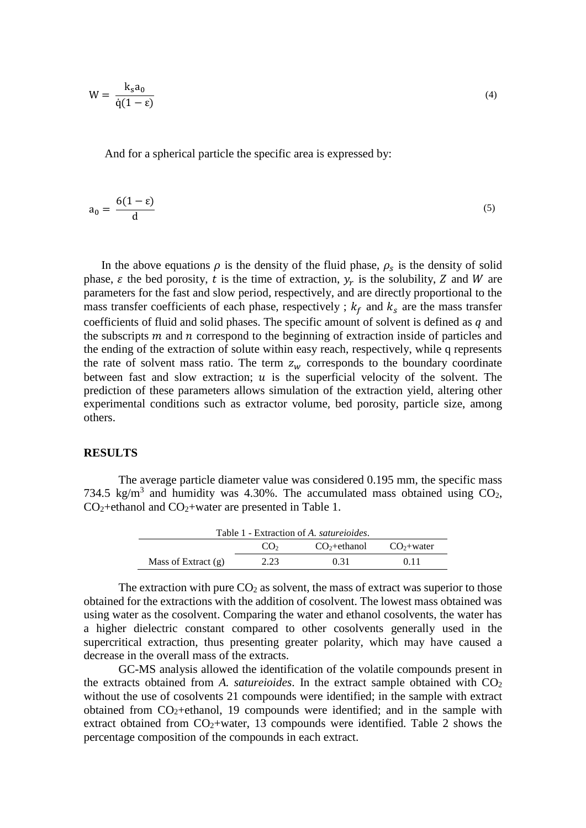$$
W = \frac{k_s a_0}{\dot{q}(1-\epsilon)}
$$

And for a spherical particle the specific area is expressed by:

$$
a_0 = \frac{6(1 - \varepsilon)}{d} \tag{5}
$$

In the above equations  $\rho$  is the density of the fluid phase,  $\rho_s$  is the density of solid phase,  $\varepsilon$  the bed porosity, t is the time of extraction,  $y_r$  is the solubility, Z and W are parameters for the fast and slow period, respectively, and are directly proportional to the mass transfer coefficients of each phase, respectively ;  $k_f$  and  $k_s$  are the mass transfer coefficients of fluid and solid phases. The specific amount of solvent is defined as  $q$  and the subscripts  $m$  and  $n$  correspond to the beginning of extraction inside of particles and the ending of the extraction of solute within easy reach, respectively, while q represents the rate of solvent mass ratio. The term  $z_w$  corresponds to the boundary coordinate between fast and slow extraction;  $u$  is the superficial velocity of the solvent. The prediction of these parameters allows simulation of the extraction yield, altering other experimental conditions such as extractor volume, bed porosity, particle size, among others.

#### **RESULTS**

The average particle diameter value was considered 0.195 mm, the specific mass 734.5 kg/m<sup>3</sup> and humidity was 4.30%. The accumulated mass obtained using  $CO<sub>2</sub>$ ,  $CO<sub>2</sub> +$ ethanol and  $CO<sub>2</sub> +$ water are presented in Table 1.

| Table 1 - Extraction of A. saturetoides. |                 |                |             |
|------------------------------------------|-----------------|----------------|-------------|
|                                          | CO <sub>2</sub> | $CO2 +ethanol$ | $CO2+water$ |
| Mass of Extract $(g)$                    | 2.23            | 0.31           | 0.11        |

The extraction with pure  $CO<sub>2</sub>$  as solvent, the mass of extract was superior to those obtained for the extractions with the addition of cosolvent. The lowest mass obtained was using water as the cosolvent. Comparing the water and ethanol cosolvents, the water has a higher dielectric constant compared to other cosolvents generally used in the supercritical extraction, thus presenting greater polarity, which may have caused a decrease in the overall mass of the extracts.

GC-MS analysis allowed the identification of the volatile compounds present in the extracts obtained from  $A$ . *satureioides*. In the extract sample obtained with  $CO<sub>2</sub>$ without the use of cosolvents 21 compounds were identified; in the sample with extract obtained from  $CO_2$ +ethanol, 19 compounds were identified; and in the sample with extract obtained from  $CO<sub>2</sub> + water$ , 13 compounds were identified. Table 2 shows the percentage composition of the compounds in each extract.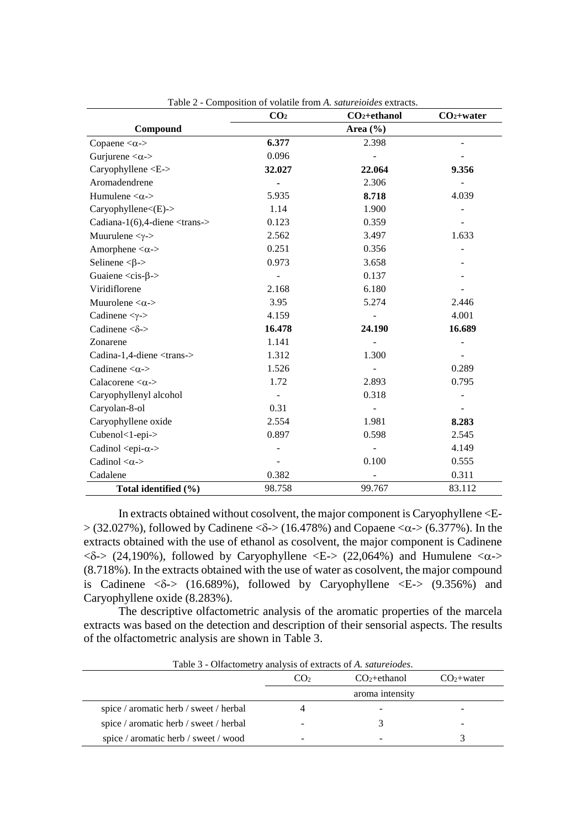|                                                  | CO <sub>2</sub> | obthon of volume homin, bann cromes extracts<br>$CO2+ethanol$ | $CO2+water$ |
|--------------------------------------------------|-----------------|---------------------------------------------------------------|-------------|
| Compound                                         |                 | Area $(\% )$                                                  |             |
| Copaene $\langle \alpha - \rangle$               | 6.377           | 2.398                                                         |             |
| Gurjurene $<\!\alpha$ ->                         | 0.096           |                                                               |             |
| Caryophyllene <e-></e->                          | 32.027          | 22.064                                                        | 9.356       |
| Aromadendrene                                    | $\blacksquare$  | 2.306                                                         |             |
| Humulene $<\!\alpha$ ->                          | 5.935           | 8.718                                                         | 4.039       |
| Caryophyllene<(E)->                              | 1.14            | 1.900                                                         |             |
| Cadiana-1(6), 4-diene $\langle$ trans- $\rangle$ | 0.123           | 0.359                                                         |             |
| Muurulene $<\gamma$ ->                           | 2.562           | 3.497                                                         | 1.633       |
| Amorphene $<\!\alpha$ ->                         | 0.251           | 0.356                                                         |             |
| Selinene < $\beta$ ->                            | 0.973           | 3.658                                                         |             |
| Guaiene $\langle cis-\beta \rangle$              |                 | 0.137                                                         |             |
| Viridiflorene                                    | 2.168           | 6.180                                                         |             |
| Muurolene $<\!\alpha\!>$                         | 3.95            | 5.274                                                         | 2.446       |
| Cadinene $<\gamma$ ->                            | 4.159           |                                                               | 4.001       |
| Cadinene $<\delta$ ->                            | 16.478          | 24.190                                                        | 16.689      |
| Zonarene                                         | 1.141           |                                                               |             |
| Cadina-1,4-diene <trans-></trans->               | 1.312           | 1.300                                                         |             |
| Cadinene $<\!\alpha$ ->                          | 1.526           |                                                               | 0.289       |
| Calacorene $<\!\alpha$ ->                        | 1.72            | 2.893                                                         | 0.795       |
| Caryophyllenyl alcohol                           |                 | 0.318                                                         |             |
| Caryolan-8-ol                                    | 0.31            |                                                               |             |
| Caryophyllene oxide                              | 2.554           | 1.981                                                         | 8.283       |
| Cubenol<1-epi->                                  | 0.897           | 0.598                                                         | 2.545       |
| Cadinol <epi-<math>\alpha-&gt;</epi-<math>       |                 |                                                               | 4.149       |
| Cadinol $<\!\alpha$ ->                           |                 | 0.100                                                         | 0.555       |
| Cadalene                                         | 0.382           |                                                               | 0.311       |
| Total identified (%)                             | 98.758          | 99.767                                                        | 83.112      |

Table 2 - Composition of volatile from *A. satureioides* extracts.

In extracts obtained without cosolvent, the major component is Caryophyllene <E-  $> (32.027\%)$ , followed by Cadinene < $\delta$ - $> (16.478\%)$  and Copaene < $\alpha$ - $> (6.377\%)$ . In the extracts obtained with the use of ethanol as cosolvent, the major component is Cadinene  $\langle \delta \rangle$  (24,190%), followed by Caryophyllene  $\langle E \rangle$  (22,064%) and Humulene  $\langle \alpha \rangle$ (8.718%). In the extracts obtained with the use of water as cosolvent, the major compound is Cadinene  $\langle \delta \rangle$  (16.689%), followed by Caryophyllene  $\langle E \rangle$  (9.356%) and Caryophyllene oxide (8.283%).

The descriptive olfactometric analysis of the aromatic properties of the marcela extracts was based on the detection and description of their sensorial aspects. The results of the olfactometric analysis are shown in Table 3.

| Table 5 - Offactument y analysis of extracts of A. <i>summentes</i> . |                 |                 |             |
|-----------------------------------------------------------------------|-----------------|-----------------|-------------|
|                                                                       | CO <sub>2</sub> | $CO_2$ +ethanol | $CO2+water$ |
|                                                                       | aroma intensity |                 |             |
| spice / aromatic herb / sweet / herbal                                |                 |                 |             |
| spice / aromatic herb / sweet / herbal                                |                 |                 | -           |
| spice / aromatic herb / sweet / wood                                  |                 |                 |             |

Table 3 - Olfactometry analysis of extracts of *A. satureiodes*.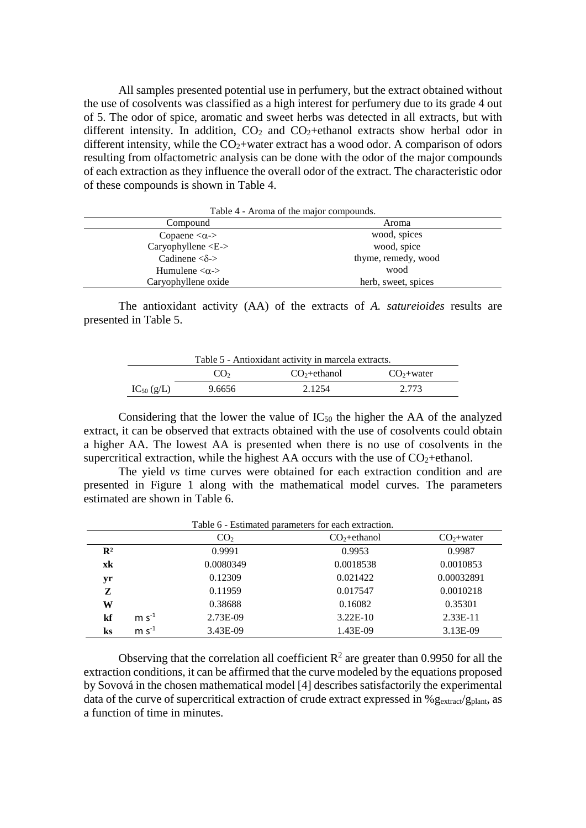All samples presented potential use in perfumery, but the extract obtained without the use of cosolvents was classified as a high interest for perfumery due to its grade 4 out of 5. The odor of spice, aromatic and sweet herbs was detected in all extracts, but with different intensity. In addition,  $CO<sub>2</sub>$  and  $CO<sub>2</sub>$ +ethanol extracts show herbal odor in different intensity, while the  $CO<sub>2</sub>$ +water extract has a wood odor. A comparison of odors resulting from olfactometric analysis can be done with the odor of the major compounds of each extraction as they influence the overall odor of the extract. The characteristic odor of these compounds is shown in Table 4.

| Table 4 - Aroma of the major compounds. |                     |  |  |
|-----------------------------------------|---------------------|--|--|
| Compound                                | Aroma               |  |  |
| Copaene $<\alpha$ ->                    | wood, spices        |  |  |
| Caryophyllene $\langle E - \rangle$     | wood, spice         |  |  |
| Cadinene $<\delta$ - $>$                | thyme, remedy, wood |  |  |
| Humulene $<\!\alpha$ ->                 | wood                |  |  |
| Caryophyllene oxide                     | herb, sweet, spices |  |  |

The antioxidant activity (AA) of the extracts of *A. satureioides* results are presented in Table 5.

| Table 5 - Antioxidant activity in marcela extracts. |                 |               |             |
|-----------------------------------------------------|-----------------|---------------|-------------|
|                                                     | CO <sub>2</sub> | $CO2+ethanol$ | $CO2+water$ |
| $IC_{50}$ (g/L)                                     | 9.6656          | 2.1254        | 2.773       |

Considering that the lower the value of  $IC_{50}$  the higher the AA of the analyzed extract, it can be observed that extracts obtained with the use of cosolvents could obtain a higher AA. The lowest AA is presented when there is no use of cosolvents in the supercritical extraction, while the highest AA occurs with the use of  $CO<sub>2</sub>+\text{ethanol}$ .

The yield *vs* time curves were obtained for each extraction condition and are presented in Figure 1 along with the mathematical model curves. The parameters estimated are shown in Table 6.

| Table 6 - Estimated parameters for each extraction. |         |                 |               |             |
|-----------------------------------------------------|---------|-----------------|---------------|-------------|
|                                                     |         | CO <sub>2</sub> | $CO2+ethanol$ | $CO2+water$ |
| $\mathbf{R}^2$                                      |         | 0.9991          | 0.9953        | 0.9987      |
| xk                                                  |         | 0.0080349       | 0.0018538     | 0.0010853   |
| yr                                                  |         | 0.12309         | 0.021422      | 0.00032891  |
| Z                                                   |         | 0.11959         | 0.017547      | 0.0010218   |
| W                                                   |         | 0.38688         | 0.16082       | 0.35301     |
| kf                                                  | $m s-1$ | 2.73E-09        | $3.22E-10$    | $2.33E-11$  |
| ks                                                  | $m s-1$ | 3.43E-09        | 1.43E-09      | 3.13E-09    |

Observing that the correlation all coefficient  $R^2$  are greater than 0.9950 for all the extraction conditions, it can be affirmed that the curve modeled by the equations proposed by Sovová in the chosen mathematical model [4] describes satisfactorily the experimental data of the curve of supercritical extraction of crude extract expressed in %  $g_{\text{extract}}/g_{\text{plant}}$ , as a function of time in minutes.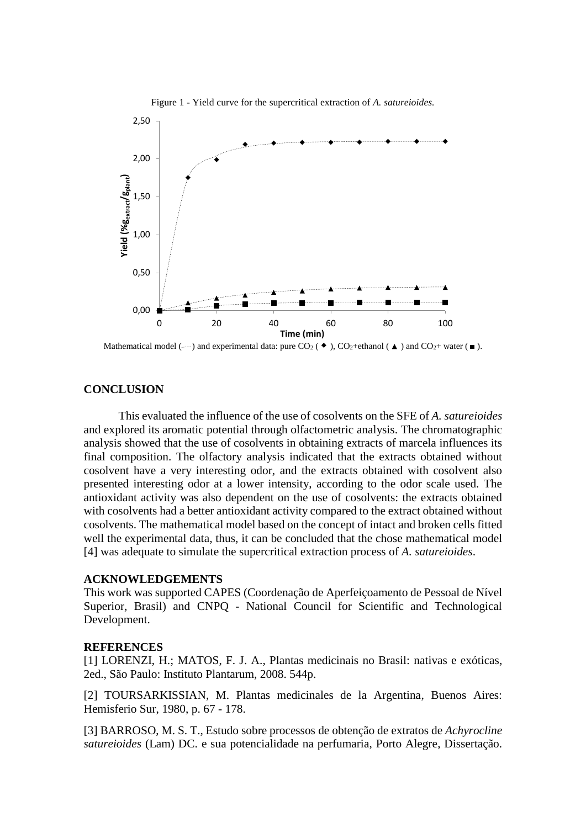

Figure 1 - Yield curve for the supercritical extraction of *A. satureioides.*

Mathematical model ( $\cdots$ ) and experimental data: pure CO<sub>2</sub> ( $\bullet$ ), CO<sub>2</sub>+ethanol ( $\blacktriangle$ ) and CO<sub>2</sub>+ water ( $\blacksquare$ ).

## **CONCLUSION**

This evaluated the influence of the use of cosolvents on the SFE of *A. satureioides* and explored its aromatic potential through olfactometric analysis. The chromatographic analysis showed that the use of cosolvents in obtaining extracts of marcela influences its final composition. The olfactory analysis indicated that the extracts obtained without cosolvent have a very interesting odor, and the extracts obtained with cosolvent also presented interesting odor at a lower intensity, according to the odor scale used. The antioxidant activity was also dependent on the use of cosolvents: the extracts obtained with cosolvents had a better antioxidant activity compared to the extract obtained without cosolvents. The mathematical model based on the concept of intact and broken cells fitted well the experimental data, thus, it can be concluded that the chose mathematical model [4] was adequate to simulate the supercritical extraction process of *A. satureioides*.

## **ACKNOWLEDGEMENTS**

This work was supported CAPES (Coordenação de Aperfeiçoamento de Pessoal de Nível Superior, Brasil) and CNPQ - National Council for Scientific and Technological Development.

#### **REFERENCES**

[1] LORENZI, H.; MATOS, F. J. A., Plantas medicinais no Brasil: nativas e exóticas, 2ed., São Paulo: Instituto Plantarum, 2008. 544p.

[2] TOURSARKISSIAN, M. Plantas medicinales de la Argentina, Buenos Aires: Hemisferio Sur, 1980, p. 67 - 178.

[3] BARROSO, M. S. T., Estudo sobre processos de obtenção de extratos de *Achyrocline satureioides* (Lam) DC. e sua potencialidade na perfumaria, Porto Alegre, Dissertação.